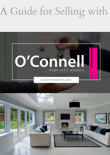## A Guide for Selling with



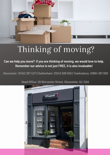

### Thinking of moving?

**Can we help you move? If you are thinking of moving, we would love to help. Remember our advice is not just FREE, it is also invaluable!**

**Gloucester: 01452 387 437 | Cheltenham: 01242 506 550 | Tewkesbury: 01684 367 000**



**Head Office: 20 Worcester Street, Gloucester, GL1 3AA**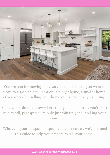

Your reason for moving may vary, it could be that you want to move to a specific new location, a bigger home, a smaller home, a fixer-upper but selling your home can be extremely daunting.

Some sellers do not know where to begin and perhaps you're in a rush to sell, perhaps you're only just thinking about selling your house .

Whatever your unique and specific circumstances, we've created this guide to help you prepare to sell your home.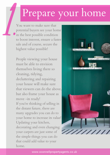### Prepare your home

You want to make sure that potential buyers see your home in the best possible condition to boost interest, ensure a faster sale and of course, secure the highest value possible! 1.

> People viewing your house must be able to envision themselves living there so cleaning, tidying, decluttering and repairing your house will make sure that viewers can do the above, but also frame your house as move -in ready! If you're thinking of selling in the distant future, there are many upgrades you can do to your home to increase its value! Updating your kitchen, decorating and even changing your carpets are just some of the simple things you can do that could add value to your home.

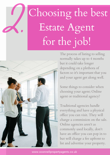# Choosing the best Estate Agent for the job!



2.

The process of listing to selling normally takes up to 4 months but it could take longer depending on a plethora of factors so it's important that you and your agent get along well.

Some things to consider when choosing your agent; Online agent or traditional agency?

Traditional agencies handle everything and have a physical office you can visit. They will charge a commission on the sale. Online agencies aren't as commonly used locally, don't have an office you can pop in to but will charge a fee upfront to list and advertise your property.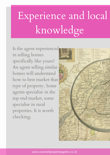# Experience and local knowledge

Is the agent experienced in selling homes specifically like yours? An agent selling similar homes will understand how to best market that type of property. Some agents specialise in the top end market, some specialise in rural properties. It is worth checking.

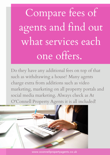Compare fees of agents and find out what services each one offers.

Do they have any additional fees on top of that such as withdrawing a house? Many agents charge extra from additions such as video marketing, marketing on all property portals and social media marketing. Always check as At O'Connell Property Agents it is all included!

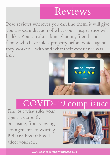### Reviews

Read reviews wherever you can find them, it will give you a good indication of what your experience will be like. You can also ask neighbours, friends and family who have sold a property before which agent they worked with and what their experience was like.



### COVID-19 compliance

Find out what rules your agent is currently practising, from viewing arrangements to wearing PPE and how this will affect your sale.

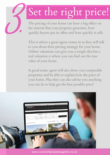## Set the right price!

The pricing of your home can have a big effect on the interest that your property generates, how quickly buyers put in offers and how quickly it sells.

3.

This is where a great agent comes in as they will talk to you about their pricing strategy for your home. Online valuations can give you a rough idea but a real valuation is where you can find out the true value of your home.

A good estate agent will also show you comparable properties and be able to explain how the price of your home. Plus they can also advise you anything you can do to help get the best possible price!

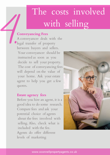### The costs involved with selling

#### **Conveyancing Fees**

A conveyancer deals with the legal transfer of property between buyers and sellers. Your conveyancer should be instructed as soon as you decide to sell your property. The cost of conveyancing fees will depend on the value of your home. Ask your estate agent to help you get a few quotes. 4.

#### **Estate agency fees**

Before you hire an agent, it is a good idea to do some research. Compare fees and ask your potential choice of agents about the fees involved with selling. Also, check what is included with the fee. Agents do offer different levels of marketing

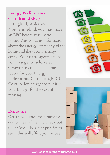#### **Energy Performance Certificates(EPC)**

In England, Wales and NorthernIreland, you must have an EPC before you list your home. This contains information about the energy-efficiency of the home and the typical energy costs. Your estate agent can help you arrange for achartered surveyor to complete ahome report for you. Energy Performance Certificates(EPC) Costs so don't forget to put it in your budget for the cost of moving.



#### **Removals**

Get a few quotes from moving companies online and check out their Covid-19 safety policies to see if this will affect your move.

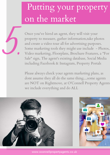### Putting your property on the market

Once you've hired an agent, they will visit your property to measure, gather information,take photos and create a video tour all for advertising purposes. Some marketing tools they might use include - Photos, Video marketing, Floorplans, Brochure Features, a "For Sale" sign, The agent's existing database, Social Media including Facebook & Instagram, Property Portals

Please always check your agents marketing plans, as dont assume they all do the same thing....some agents are NOT on Rightmove, at O'Connell Property Agents we include everything and do ALL



5.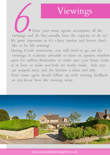### Viewings

Does your estate agents accompany all the viewings and do they actually have the capacity to do so? It's quite important as it's a busy market and buyers don't like to be left waiting! EXECUTE DE LA COLEGIA DE

During Covid restrictions, you will need to go out for viewings. It is always advisable to leave an upstairs window open for airflow. Remember to make sure your home looks at its best, so make sure beds are neatly made, kids toys are popped away and the kitchen is clean and tidy. Your estate agent should follow up with viewing feedback so you know how the viewing went.

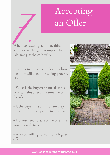### Accepting an Offer

When considering an offer, think about other things that impact the sale, not just the cash value. When consider the shout other the

- Take some time to think about how the offer will affect the selling process, like;

- What is the buyers financial status, how will this affect the timeline of the sale?

- Is the buyer in a chain or are they someone who can pay immediately?

- Do you need to accept the offer, are you in a rush to sell?

- Are you willing to wait for a higher offer?